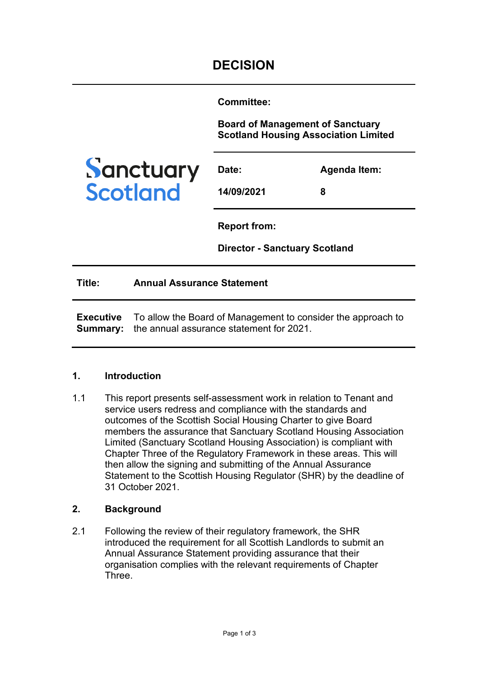**Committee:** 

**Board of Management of Sanctuary Scotland Housing Association Limited**



| Date:      | Agenda Item: |
|------------|--------------|
| 14/09/2021 | 8            |

**Report from:** 

**Director - Sanctuary Scotland**

**Title: Annual Assurance Statement**

**Executive Summary:**  the annual assurance statement for 2021. To allow the Board of Management to consider the approach to

### **1. Introduction**

1.1 This report presents self-assessment work in relation to Tenant and service users redress and compliance with the standards and outcomes of the Scottish Social Housing Charter to give Board members the assurance that Sanctuary Scotland Housing Association Limited (Sanctuary Scotland Housing Association) is compliant with Chapter Three of the Regulatory Framework in these areas. This will then allow the signing and submitting of the Annual Assurance Statement to the Scottish Housing Regulator (SHR) by the deadline of 31 October 2021.

## **2. Background**

2.1 Following the review of their regulatory framework, the SHR introduced the requirement for all Scottish Landlords to submit an Annual Assurance Statement providing assurance that their organisation complies with the relevant requirements of Chapter **Three**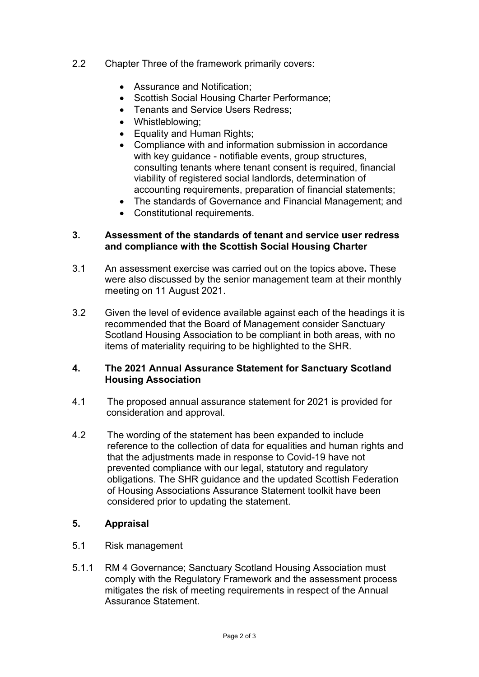- 2.2 Chapter Three of the framework primarily covers:
	- Assurance and Notification;
	- Scottish Social Housing Charter Performance;
	- Tenants and Service Users Redress;
	- Whistleblowing;
	- Equality and Human Rights;
	- Compliance with and information submission in accordance with key guidance - notifiable events, group structures, consulting tenants where tenant consent is required, financial viability of registered social landlords, determination of accounting requirements, preparation of financial statements;
	- The standards of Governance and Financial Management; and
	- Constitutional requirements.

## **3. Assessment of the standards of tenant and service user redress and compliance with the Scottish Social Housing Charter**

- 3.1 An assessment exercise was carried out on the topics above**.** These were also discussed by the senior management team at their monthly meeting on 11 August 2021.
- 3.2 Given the level of evidence available against each of the headings it is recommended that the Board of Management consider Sanctuary Scotland Housing Association to be compliant in both areas, with no items of materiality requiring to be highlighted to the SHR.

# **4. The 2021 Annual Assurance Statement for Sanctuary Scotland Housing Association**

- 4.1 The proposed annual assurance statement for 2021 is provided for consideration and approval.
- 4.2 The wording of the statement has been expanded to include reference to the collection of data for equalities and human rights and that the adjustments made in response to Covid-19 have not prevented compliance with our legal, statutory and regulatory obligations. The SHR guidance and the updated Scottish Federation of Housing Associations Assurance Statement toolkit have been considered prior to updating the statement.

# **5. Appraisal**

- 5.1 Risk management
- 5.1.1 RM 4 Governance; Sanctuary Scotland Housing Association must comply with the Regulatory Framework and the assessment process mitigates the risk of meeting requirements in respect of the Annual Assurance Statement.